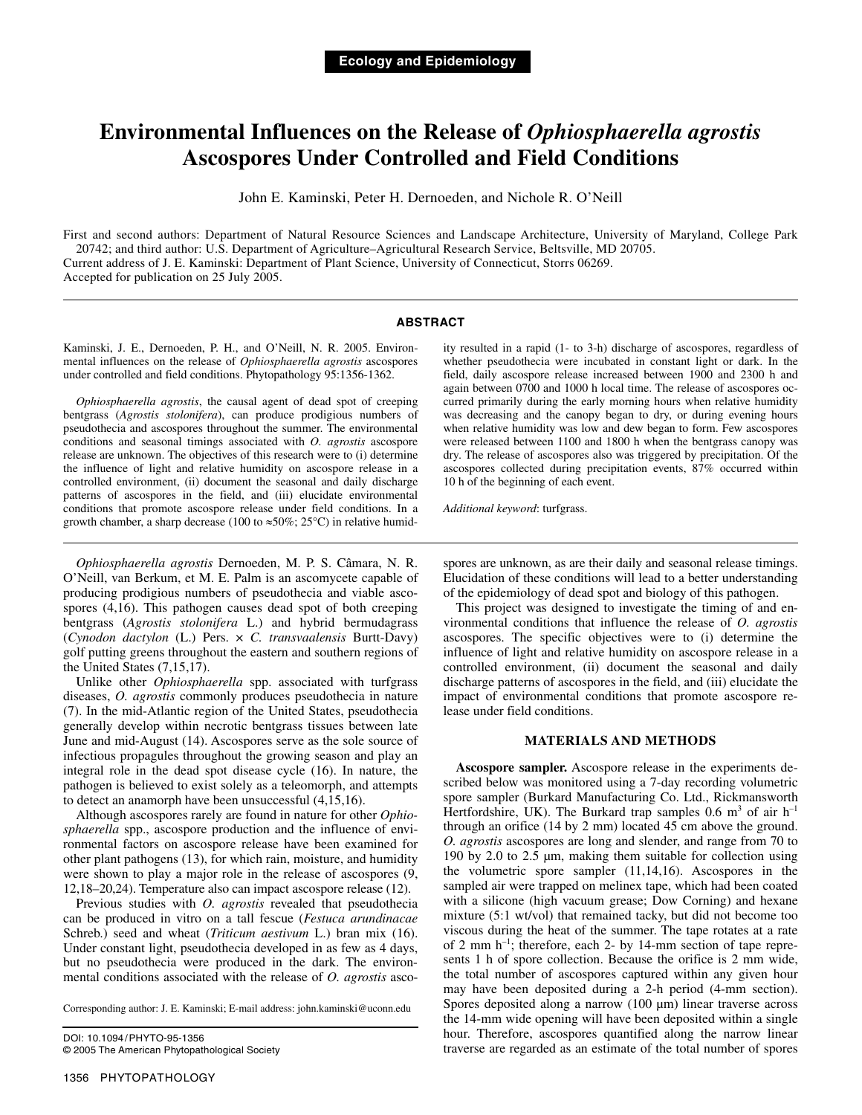# **Environmental Influences on the Release of** *Ophiosphaerella agrostis* **Ascospores Under Controlled and Field Conditions**

John E. Kaminski, Peter H. Dernoeden, and Nichole R. O'Neill

First and second authors: Department of Natural Resource Sciences and Landscape Architecture, University of Maryland, College Park 20742; and third author: U.S. Department of Agriculture–Agricultural Research Service, Beltsville, MD 20705. Current address of J. E. Kaminski: Department of Plant Science, University of Connecticut, Storrs 06269. Accepted for publication on 25 July 2005.

## **ABSTRACT**

Kaminski, J. E., Dernoeden, P. H., and O'Neill, N. R. 2005. Environmental influences on the release of *Ophiosphaerella agrostis* ascospores under controlled and field conditions. Phytopathology 95:1356-1362.

*Ophiosphaerella agrostis*, the causal agent of dead spot of creeping bentgrass (*Agrostis stolonifera*), can produce prodigious numbers of pseudothecia and ascospores throughout the summer. The environmental conditions and seasonal timings associated with *O. agrostis* ascospore release are unknown. The objectives of this research were to (i) determine the influence of light and relative humidity on ascospore release in a controlled environment, (ii) document the seasonal and daily discharge patterns of ascospores in the field, and (iii) elucidate environmental conditions that promote ascospore release under field conditions. In a growth chamber, a sharp decrease (100 to  $\approx 50\%$ ; 25°C) in relative humidity resulted in a rapid (1- to 3-h) discharge of ascospores, regardless of whether pseudothecia were incubated in constant light or dark. In the field, daily ascospore release increased between 1900 and 2300 h and again between 0700 and 1000 h local time. The release of ascospores occurred primarily during the early morning hours when relative humidity was decreasing and the canopy began to dry, or during evening hours when relative humidity was low and dew began to form. Few ascospores were released between 1100 and 1800 h when the bentgrass canopy was dry. The release of ascospores also was triggered by precipitation. Of the ascospores collected during precipitation events, 87% occurred within 10 h of the beginning of each event.

*Additional keyword*: turfgrass.

*Ophiosphaerella agrostis* Dernoeden, M. P. S. Câmara, N. R. O'Neill, van Berkum, et M. E. Palm is an ascomycete capable of producing prodigious numbers of pseudothecia and viable ascospores (4,16). This pathogen causes dead spot of both creeping bentgrass (*Agrostis stolonifera* L.) and hybrid bermudagrass (*Cynodon dactylon* (L.) Pers. × *C. transvaalensis* Burtt-Davy) golf putting greens throughout the eastern and southern regions of the United States (7,15,17).

Unlike other *Ophiosphaerella* spp. associated with turfgrass diseases, *O. agrostis* commonly produces pseudothecia in nature (7). In the mid-Atlantic region of the United States, pseudothecia generally develop within necrotic bentgrass tissues between late June and mid-August (14). Ascospores serve as the sole source of infectious propagules throughout the growing season and play an integral role in the dead spot disease cycle (16). In nature, the pathogen is believed to exist solely as a teleomorph, and attempts to detect an anamorph have been unsuccessful (4,15,16).

Although ascospores rarely are found in nature for other *Ophiosphaerella* spp., ascospore production and the influence of environmental factors on ascospore release have been examined for other plant pathogens (13), for which rain, moisture, and humidity were shown to play a major role in the release of ascospores (9, 12,18–20,24). Temperature also can impact ascospore release (12).

Previous studies with *O. agrostis* revealed that pseudothecia can be produced in vitro on a tall fescue (*Festuca arundinacae* Schreb.) seed and wheat (*Triticum aestivum* L.) bran mix (16). Under constant light, pseudothecia developed in as few as 4 days, but no pseudothecia were produced in the dark. The environmental conditions associated with the release of *O. agrostis* asco-

Corresponding author: J. E. Kaminski; E-mail address: john.kaminski@uconn.edu

DOI: 10.1094/PHYTO-95-1356 © 2005 The American Phytopathological Society spores are unknown, as are their daily and seasonal release timings. Elucidation of these conditions will lead to a better understanding of the epidemiology of dead spot and biology of this pathogen.

This project was designed to investigate the timing of and environmental conditions that influence the release of *O. agrostis* ascospores. The specific objectives were to (i) determine the influence of light and relative humidity on ascospore release in a controlled environment, (ii) document the seasonal and daily discharge patterns of ascospores in the field, and (iii) elucidate the impact of environmental conditions that promote ascospore release under field conditions.

## **MATERIALS AND METHODS**

**Ascospore sampler.** Ascospore release in the experiments described below was monitored using a 7-day recording volumetric spore sampler (Burkard Manufacturing Co. Ltd., Rickmansworth Hertfordshire, UK). The Burkard trap samples 0.6  $m^3$  of air  $h^{-1}$ through an orifice (14 by 2 mm) located 45 cm above the ground. *O. agrostis* ascospores are long and slender, and range from 70 to 190 by 2.0 to 2.5 µm, making them suitable for collection using the volumetric spore sampler (11,14,16). Ascospores in the sampled air were trapped on melinex tape, which had been coated with a silicone (high vacuum grease; Dow Corning) and hexane mixture (5:1 wt/vol) that remained tacky, but did not become too viscous during the heat of the summer. The tape rotates at a rate of 2 mm h–1; therefore, each 2- by 14-mm section of tape represents 1 h of spore collection. Because the orifice is 2 mm wide, the total number of ascospores captured within any given hour may have been deposited during a 2-h period (4-mm section). Spores deposited along a narrow (100 µm) linear traverse across the 14-mm wide opening will have been deposited within a single hour. Therefore, ascospores quantified along the narrow linear traverse are regarded as an estimate of the total number of spores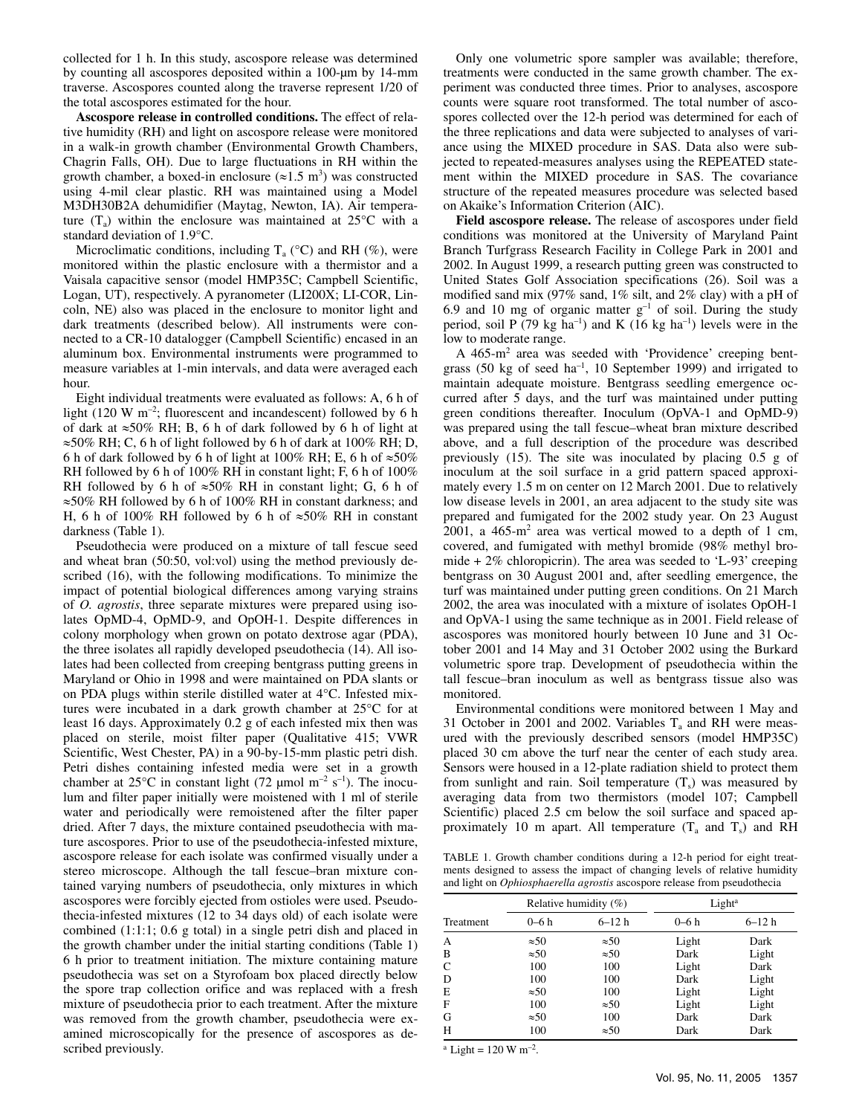collected for 1 h. In this study, ascospore release was determined by counting all ascospores deposited within a 100-µm by 14-mm traverse. Ascospores counted along the traverse represent 1/20 of the total ascospores estimated for the hour.

**Ascospore release in controlled conditions.** The effect of relative humidity (RH) and light on ascospore release were monitored in a walk-in growth chamber (Environmental Growth Chambers, Chagrin Falls, OH). Due to large fluctuations in RH within the growth chamber, a boxed-in enclosure  $(\approx 1.5 \text{ m}^3)$  was constructed using 4-mil clear plastic. RH was maintained using a Model M3DH30B2A dehumidifier (Maytag, Newton, IA). Air temperature  $(T_a)$  within the enclosure was maintained at 25 $\degree$ C with a standard deviation of 1.9°C.

Microclimatic conditions, including  $T_a$  (°C) and RH (%), were monitored within the plastic enclosure with a thermistor and a Vaisala capacitive sensor (model HMP35C; Campbell Scientific, Logan, UT), respectively. A pyranometer (LI200X; LI-COR, Lincoln, NE) also was placed in the enclosure to monitor light and dark treatments (described below). All instruments were connected to a CR-10 datalogger (Campbell Scientific) encased in an aluminum box. Environmental instruments were programmed to measure variables at 1-min intervals, and data were averaged each hour.

Eight individual treatments were evaluated as follows: A, 6 h of light (120 W m–2; fluorescent and incandescent) followed by 6 h of dark at ≈50% RH; B, 6 h of dark followed by 6 h of light at  $\approx$  50% RH; C, 6 h of light followed by 6 h of dark at 100% RH; D, 6 h of dark followed by 6 h of light at 100% RH; E, 6 h of  $\approx 50\%$ RH followed by 6 h of 100% RH in constant light; F, 6 h of 100% RH followed by 6 h of  $\approx 50\%$  RH in constant light; G, 6 h of ≈50% RH followed by 6 h of 100% RH in constant darkness; and H, 6 h of 100% RH followed by 6 h of  $\approx 50\%$  RH in constant darkness (Table 1).

Pseudothecia were produced on a mixture of tall fescue seed and wheat bran (50:50, vol:vol) using the method previously described (16), with the following modifications. To minimize the impact of potential biological differences among varying strains of *O. agrostis*, three separate mixtures were prepared using isolates OpMD-4, OpMD-9, and OpOH-1. Despite differences in colony morphology when grown on potato dextrose agar (PDA), the three isolates all rapidly developed pseudothecia (14). All isolates had been collected from creeping bentgrass putting greens in Maryland or Ohio in 1998 and were maintained on PDA slants or on PDA plugs within sterile distilled water at 4°C. Infested mixtures were incubated in a dark growth chamber at 25°C for at least 16 days. Approximately 0.2 g of each infested mix then was placed on sterile, moist filter paper (Qualitative 415; VWR Scientific, West Chester, PA) in a 90-by-15-mm plastic petri dish. Petri dishes containing infested media were set in a growth chamber at 25 $\rm ^{\circ}C$  in constant light (72 µmol m<sup>-2</sup> s<sup>-1</sup>). The inoculum and filter paper initially were moistened with 1 ml of sterile water and periodically were remoistened after the filter paper dried. After 7 days, the mixture contained pseudothecia with mature ascospores. Prior to use of the pseudothecia-infested mixture, ascospore release for each isolate was confirmed visually under a stereo microscope. Although the tall fescue–bran mixture contained varying numbers of pseudothecia, only mixtures in which ascospores were forcibly ejected from ostioles were used. Pseudothecia-infested mixtures (12 to 34 days old) of each isolate were combined (1:1:1; 0.6 g total) in a single petri dish and placed in the growth chamber under the initial starting conditions (Table 1) 6 h prior to treatment initiation. The mixture containing mature pseudothecia was set on a Styrofoam box placed directly below the spore trap collection orifice and was replaced with a fresh mixture of pseudothecia prior to each treatment. After the mixture was removed from the growth chamber, pseudothecia were examined microscopically for the presence of ascospores as described previously.

Only one volumetric spore sampler was available; therefore, treatments were conducted in the same growth chamber. The experiment was conducted three times. Prior to analyses, ascospore counts were square root transformed. The total number of ascospores collected over the 12-h period was determined for each of the three replications and data were subjected to analyses of variance using the MIXED procedure in SAS. Data also were subjected to repeated-measures analyses using the REPEATED statement within the MIXED procedure in SAS. The covariance structure of the repeated measures procedure was selected based on Akaike's Information Criterion (AIC).

**Field ascospore release.** The release of ascospores under field conditions was monitored at the University of Maryland Paint Branch Turfgrass Research Facility in College Park in 2001 and 2002. In August 1999, a research putting green was constructed to United States Golf Association specifications (26). Soil was a modified sand mix (97% sand, 1% silt, and 2% clay) with a pH of 6.9 and 10 mg of organic matter  $g^{-1}$  of soil. During the study period, soil P  $(79 \text{ kg ha}^{-1})$  and K  $(16 \text{ kg ha}^{-1})$  levels were in the low to moderate range.

A 465-m<sup>2</sup> area was seeded with 'Providence' creeping bentgrass (50 kg of seed ha<sup>-1</sup>, 10 September 1999) and irrigated to maintain adequate moisture. Bentgrass seedling emergence occurred after 5 days, and the turf was maintained under putting green conditions thereafter. Inoculum (OpVA-1 and OpMD-9) was prepared using the tall fescue–wheat bran mixture described above, and a full description of the procedure was described previously (15). The site was inoculated by placing 0.5 g of inoculum at the soil surface in a grid pattern spaced approximately every 1.5 m on center on 12 March 2001. Due to relatively low disease levels in 2001, an area adjacent to the study site was prepared and fumigated for the 2002 study year. On 23 August 2001, a  $465 \text{--} \text{m}^2$  area was vertical mowed to a depth of 1 cm, covered, and fumigated with methyl bromide (98% methyl bromide  $+2\%$  chloropicrin). The area was seeded to 'L-93' creeping bentgrass on 30 August 2001 and, after seedling emergence, the turf was maintained under putting green conditions. On 21 March 2002, the area was inoculated with a mixture of isolates OpOH-1 and OpVA-1 using the same technique as in 2001. Field release of ascospores was monitored hourly between 10 June and 31 October 2001 and 14 May and 31 October 2002 using the Burkard volumetric spore trap. Development of pseudothecia within the tall fescue–bran inoculum as well as bentgrass tissue also was monitored.

Environmental conditions were monitored between 1 May and 31 October in 2001 and 2002. Variables  $T_a$  and RH were measured with the previously described sensors (model HMP35C) placed 30 cm above the turf near the center of each study area. Sensors were housed in a 12-plate radiation shield to protect them from sunlight and rain. Soil temperature  $(T<sub>s</sub>)$  was measured by averaging data from two thermistors (model 107; Campbell Scientific) placed 2.5 cm below the soil surface and spaced approximately 10 m apart. All temperature  $(T_a$  and  $T_s$ ) and RH

TABLE 1. Growth chamber conditions during a 12-h period for eight treatments designed to assess the impact of changing levels of relative humidity and light on *Ophiosphaerella agrostis* ascospore release from pseudothecia

|           | Relative humidity $(\%)$ |              | Light <sup>a</sup> |           |  |
|-----------|--------------------------|--------------|--------------------|-----------|--|
| Treatment | $0-6h$                   | $6 - 12h$    | $0-6h$             | $6 - 12h$ |  |
| A         | $\approx 50$             | $\approx 50$ | Light              | Dark      |  |
| B         | $\approx 50$             | $\approx 50$ | Dark               | Light     |  |
| C         | 100                      | 100          | Light              | Dark      |  |
| D         | 100                      | 100          | Dark               | Light     |  |
| E         | $\approx 50$             | 100          | Light              | Light     |  |
| F         | 100                      | $\approx 50$ | Light              | Light     |  |
| G         | $\approx 50$             | 100          | Dark               | Dark      |  |
| Н         | 100                      | $\approx 50$ | Dark               | Dark      |  |

 $a$  Light = 120 W m<sup>-2</sup>.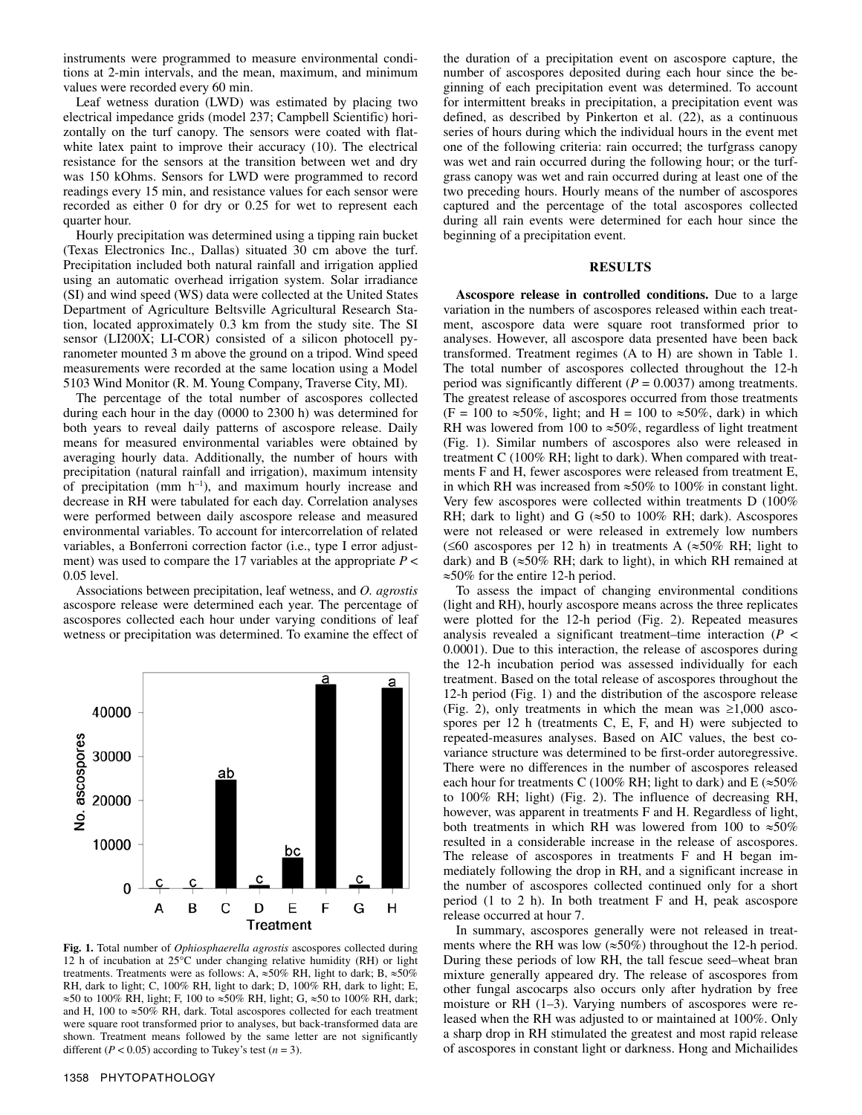instruments were programmed to measure environmental conditions at 2-min intervals, and the mean, maximum, and minimum values were recorded every 60 min.

Leaf wetness duration (LWD) was estimated by placing two electrical impedance grids (model 237; Campbell Scientific) horizontally on the turf canopy. The sensors were coated with flatwhite latex paint to improve their accuracy (10). The electrical resistance for the sensors at the transition between wet and dry was 150 kOhms. Sensors for LWD were programmed to record readings every 15 min, and resistance values for each sensor were recorded as either 0 for dry or 0.25 for wet to represent each quarter hour.

Hourly precipitation was determined using a tipping rain bucket (Texas Electronics Inc., Dallas) situated 30 cm above the turf. Precipitation included both natural rainfall and irrigation applied using an automatic overhead irrigation system. Solar irradiance (SI) and wind speed (WS) data were collected at the United States Department of Agriculture Beltsville Agricultural Research Station, located approximately 0.3 km from the study site. The SI sensor (LI200X; LI-COR) consisted of a silicon photocell pyranometer mounted 3 m above the ground on a tripod. Wind speed measurements were recorded at the same location using a Model 5103 Wind Monitor (R. M. Young Company, Traverse City, MI).

The percentage of the total number of ascospores collected during each hour in the day (0000 to 2300 h) was determined for both years to reveal daily patterns of ascospore release. Daily means for measured environmental variables were obtained by averaging hourly data. Additionally, the number of hours with precipitation (natural rainfall and irrigation), maximum intensity of precipitation (mm  $h^{-1}$ ), and maximum hourly increase and decrease in RH were tabulated for each day. Correlation analyses were performed between daily ascospore release and measured environmental variables. To account for intercorrelation of related variables, a Bonferroni correction factor (i.e., type I error adjustment) was used to compare the 17 variables at the appropriate *P* < 0.05 level.

Associations between precipitation, leaf wetness, and *O. agrostis* ascospore release were determined each year. The percentage of ascospores collected each hour under varying conditions of leaf wetness or precipitation was determined. To examine the effect of



**Fig. 1.** Total number of *Ophiosphaerella agrostis* ascospores collected during 12 h of incubation at 25°C under changing relative humidity (RH) or light treatments. Treatments were as follows: A,  $\approx 50\%$  RH, light to dark; B,  $\approx 50\%$ RH, dark to light; C, 100% RH, light to dark; D, 100% RH, dark to light; E, ≈50 to 100% RH, light; F, 100 to ≈50% RH, light; G, ≈50 to 100% RH, dark; and H, 100 to ≈50% RH, dark. Total ascospores collected for each treatment were square root transformed prior to analyses, but back-transformed data are shown. Treatment means followed by the same letter are not significantly different ( $P < 0.05$ ) according to Tukey's test ( $n = 3$ ).

the duration of a precipitation event on ascospore capture, the number of ascospores deposited during each hour since the beginning of each precipitation event was determined. To account for intermittent breaks in precipitation, a precipitation event was defined, as described by Pinkerton et al. (22), as a continuous series of hours during which the individual hours in the event met one of the following criteria: rain occurred; the turfgrass canopy was wet and rain occurred during the following hour; or the turfgrass canopy was wet and rain occurred during at least one of the two preceding hours. Hourly means of the number of ascospores captured and the percentage of the total ascospores collected during all rain events were determined for each hour since the beginning of a precipitation event.

### **RESULTS**

**Ascospore release in controlled conditions.** Due to a large variation in the numbers of ascospores released within each treatment, ascospore data were square root transformed prior to analyses. However, all ascospore data presented have been back transformed. Treatment regimes (A to H) are shown in Table 1. The total number of ascospores collected throughout the 12-h period was significantly different  $(P = 0.0037)$  among treatments. The greatest release of ascospores occurred from those treatments (F = 100 to  $\approx 50\%$ , light; and H = 100 to  $\approx 50\%$ , dark) in which RH was lowered from 100 to  $\approx 50\%$ , regardless of light treatment (Fig. 1). Similar numbers of ascospores also were released in treatment C (100% RH; light to dark). When compared with treatments F and H, fewer ascospores were released from treatment E, in which RH was increased from ≈50% to 100% in constant light. Very few ascospores were collected within treatments D (100% RH; dark to light) and G  $(\approx 50 \text{ to } 100\% \text{ RH}; \text{dark})$ . Ascospores were not released or were released in extremely low numbers (≤60 ascospores per 12 h) in treatments A (≈50% RH; light to dark) and B ( $\approx$ 50% RH; dark to light), in which RH remained at ≈50% for the entire 12-h period.

To assess the impact of changing environmental conditions (light and RH), hourly ascospore means across the three replicates were plotted for the 12-h period (Fig. 2). Repeated measures analysis revealed a significant treatment–time interaction (*P* < 0.0001). Due to this interaction, the release of ascospores during the 12-h incubation period was assessed individually for each treatment. Based on the total release of ascospores throughout the 12-h period (Fig. 1) and the distribution of the ascospore release (Fig. 2), only treatments in which the mean was  $\geq 1,000$  ascospores per 12 h (treatments C, E, F, and H) were subjected to repeated-measures analyses. Based on AIC values, the best covariance structure was determined to be first-order autoregressive. There were no differences in the number of ascospores released each hour for treatments C (100% RH; light to dark) and E ( $\approx$ 50% to 100% RH; light) (Fig. 2). The influence of decreasing RH, however, was apparent in treatments F and H. Regardless of light, both treatments in which RH was lowered from 100 to ≈50% resulted in a considerable increase in the release of ascospores. The release of ascospores in treatments F and H began immediately following the drop in RH, and a significant increase in the number of ascospores collected continued only for a short period (1 to 2 h). In both treatment F and H, peak ascospore release occurred at hour 7.

In summary, ascospores generally were not released in treatments where the RH was low ( $\approx$ 50%) throughout the 12-h period. During these periods of low RH, the tall fescue seed–wheat bran mixture generally appeared dry. The release of ascospores from other fungal ascocarps also occurs only after hydration by free moisture or RH (1–3). Varying numbers of ascospores were released when the RH was adjusted to or maintained at 100%. Only a sharp drop in RH stimulated the greatest and most rapid release of ascospores in constant light or darkness. Hong and Michailides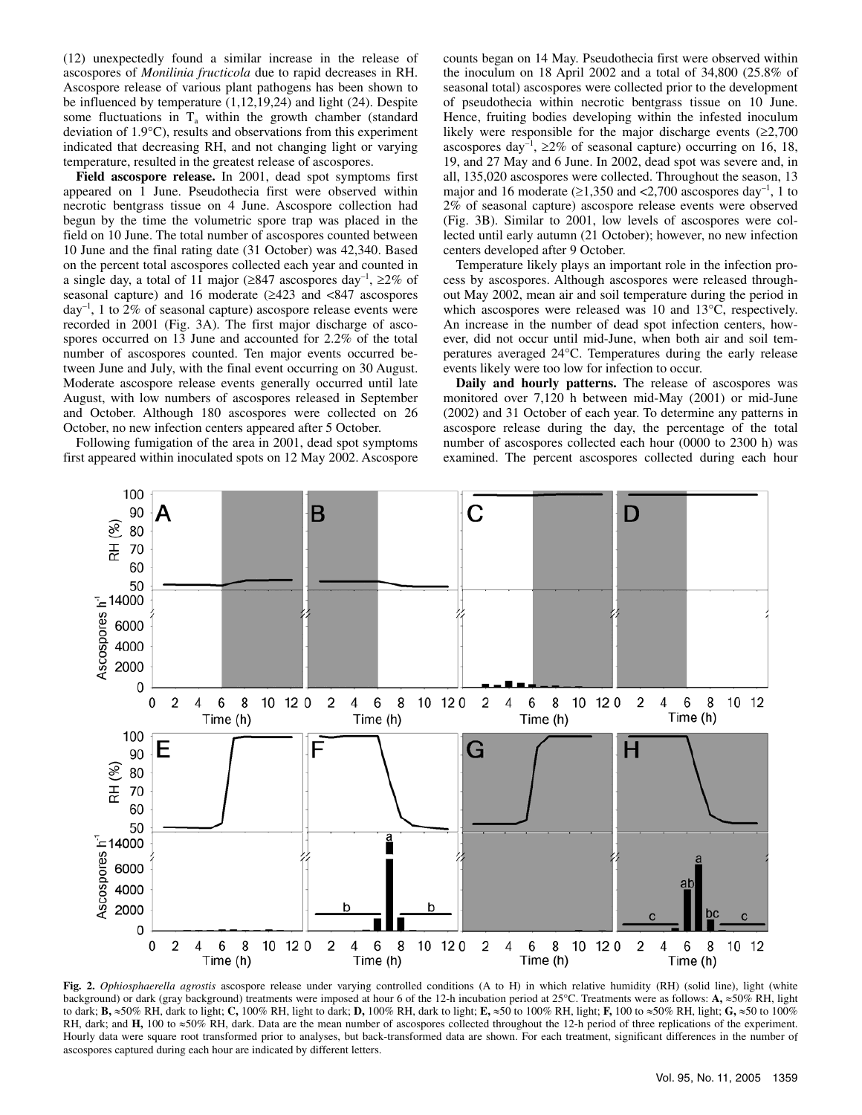(12) unexpectedly found a similar increase in the release of ascospores of *Monilinia fructicola* due to rapid decreases in RH. Ascospore release of various plant pathogens has been shown to be influenced by temperature (1,12,19,24) and light (24). Despite some fluctuations in  $T_a$  within the growth chamber (standard deviation of 1.9°C), results and observations from this experiment indicated that decreasing RH, and not changing light or varying temperature, resulted in the greatest release of ascospores.

**Field ascospore release.** In 2001, dead spot symptoms first appeared on 1 June. Pseudothecia first were observed within necrotic bentgrass tissue on 4 June. Ascospore collection had begun by the time the volumetric spore trap was placed in the field on 10 June. The total number of ascospores counted between 10 June and the final rating date (31 October) was 42,340. Based on the percent total ascospores collected each year and counted in a single day, a total of 11 major ( $\geq 847$  ascospores day<sup>-1</sup>,  $\geq 2\%$  of seasonal capture) and 16 moderate (≥423 and <847 ascospores  $day^{-1}$ , 1 to 2% of seasonal capture) ascospore release events were recorded in 2001 (Fig. 3A). The first major discharge of ascospores occurred on 13 June and accounted for 2.2% of the total number of ascospores counted. Ten major events occurred between June and July, with the final event occurring on 30 August. Moderate ascospore release events generally occurred until late August, with low numbers of ascospores released in September and October. Although 180 ascospores were collected on 26 October, no new infection centers appeared after 5 October.

Following fumigation of the area in 2001, dead spot symptoms first appeared within inoculated spots on 12 May 2002. Ascospore counts began on 14 May. Pseudothecia first were observed within the inoculum on 18 April 2002 and a total of 34,800 (25.8% of seasonal total) ascospores were collected prior to the development of pseudothecia within necrotic bentgrass tissue on 10 June. Hence, fruiting bodies developing within the infested inoculum likely were responsible for the major discharge events  $(≥2,700)$ ascospores day<sup>-1</sup>,  $\geq 2\%$  of seasonal capture) occurring on 16, 18, 19, and 27 May and 6 June. In 2002, dead spot was severe and, in all, 135,020 ascospores were collected. Throughout the season, 13 major and 16 moderate  $(\geq 1,350$  and  $\leq 2,700$  ascospores day<sup>-1</sup>, 1 to 2% of seasonal capture) ascospore release events were observed (Fig. 3B). Similar to 2001, low levels of ascospores were collected until early autumn (21 October); however, no new infection centers developed after 9 October.

Temperature likely plays an important role in the infection process by ascospores. Although ascospores were released throughout May 2002, mean air and soil temperature during the period in which ascospores were released was 10 and 13°C, respectively. An increase in the number of dead spot infection centers, however, did not occur until mid-June, when both air and soil temperatures averaged 24°C. Temperatures during the early release events likely were too low for infection to occur.

**Daily and hourly patterns.** The release of ascospores was monitored over 7,120 h between mid-May (2001) or mid-June (2002) and 31 October of each year. To determine any patterns in ascospore release during the day, the percentage of the total number of ascospores collected each hour (0000 to 2300 h) was examined. The percent ascospores collected during each hour



**Fig. 2.** *Ophiosphaerella agrostis* ascospore release under varying controlled conditions (A to H) in which relative humidity (RH) (solid line), light (white background) or dark (gray background) treatments were imposed at hour 6 of the 12-h incubation period at 25°C. Treatments were as follows: **A,** ≈50% RH, light to dark; **B,** ≈50% RH, dark to light; **C,** 100% RH, light to dark; **D,** 100% RH, dark to light; **E,** ≈50 to 100% RH, light; **F,** 100 to ≈50% RH, light; **G,** ≈50 to 100% RH, dark; and **H,** 100 to ≈50% RH, dark. Data are the mean number of ascospores collected throughout the 12-h period of three replications of the experiment. Hourly data were square root transformed prior to analyses, but back-transformed data are shown. For each treatment, significant differences in the number of ascospores captured during each hour are indicated by different letters.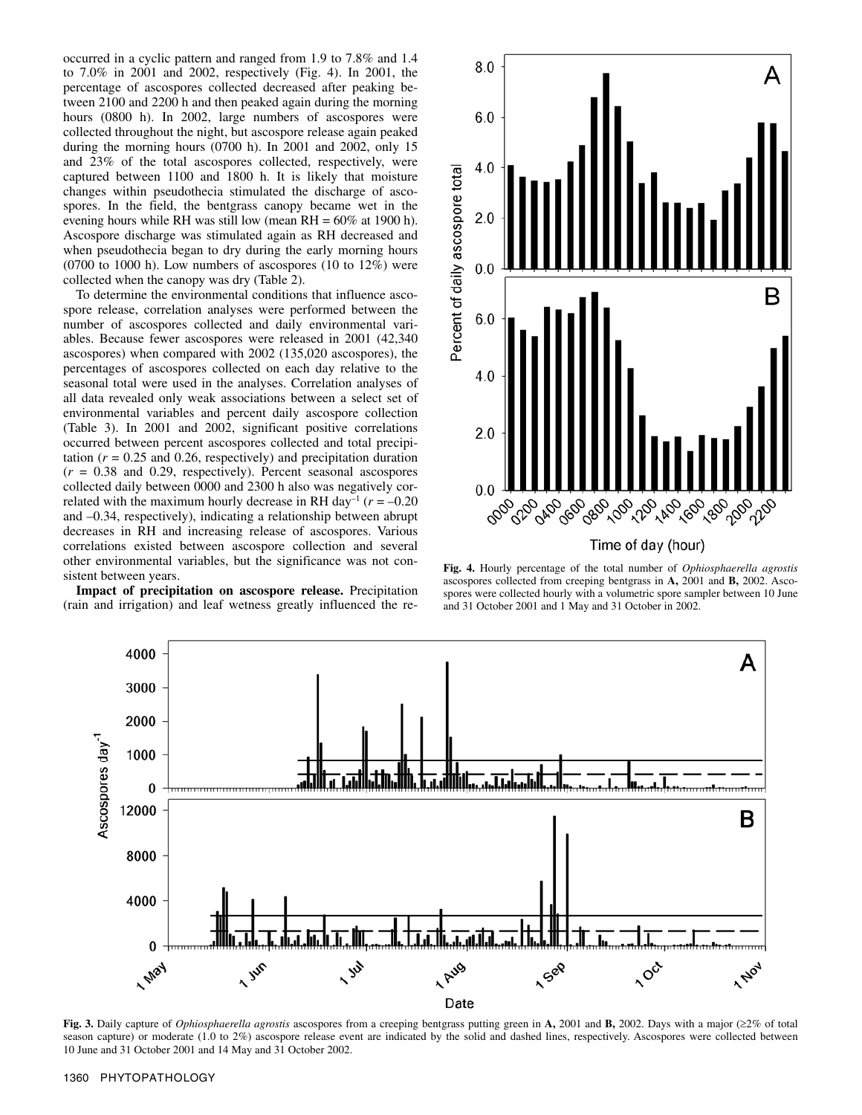occurred in a cyclic pattern and ranged from 1.9 to 7.8% and 1.4 to 7.0% in 2001 and 2002, respectively (Fig. 4). In 2001, the percentage of ascospores collected decreased after peaking between 2100 and 2200 h and then peaked again during the morning hours (0800 h). In 2002, large numbers of ascospores were collected throughout the night, but ascospore release again peaked during the morning hours (0700 h). In 2001 and 2002, only 15 and 23% of the total ascospores collected, respectively, were captured between 1100 and 1800 h. It is likely that moisture changes within pseudothecia stimulated the discharge of ascospores. In the field, the bentgrass canopy became wet in the evening hours while RH was still low (mean  $RH = 60\%$  at 1900 h). Ascospore discharge was stimulated again as RH decreased and when pseudothecia began to dry during the early morning hours  $(0700 \text{ to } 1000 \text{ h})$ . Low numbers of ascospores  $(10 \text{ to } 12\%)$  were collected when the canopy was dry (Table 2).

To determine the environmental conditions that influence ascospore release, correlation analyses were performed between the number of ascospores collected and daily environmental variables. Because fewer ascospores were released in 2001 (42,340 ascospores) when compared with 2002 (135,020 ascospores), the percentages of ascospores collected on each day relative to the seasonal total were used in the analyses. Correlation analyses of all data revealed only weak associations between a select set of environmental variables and percent daily ascospore collection (Table 3). In 2001 and 2002, significant positive correlations occurred between percent ascospores collected and total precipitation  $(r = 0.25$  and 0.26, respectively) and precipitation duration  $(r = 0.38$  and 0.29, respectively). Percent seasonal ascospores collected daily between 0000 and 2300 h also was negatively correlated with the maximum hourly decrease in RH day<sup>-1</sup> ( $r = -0.20$ ) and –0.34, respectively), indicating a relationship between abrupt decreases in RH and increasing release of ascospores. Various correlations existed between ascospore collection and several other environmental variables, but the significance was not consistent between years.

**Impact of precipitation on ascospore release.** Precipitation (rain and irrigation) and leaf wetness greatly influenced the re-



**Fig. 4.** Hourly percentage of the total number of *Ophiosphaerella agrostis* ascospores collected from creeping bentgrass in **A,** 2001 and **B,** 2002. Ascospores were collected hourly with a volumetric spore sampler between 10 June and 31 October 2001 and 1 May and 31 October in 2002.



**Fig. 3.** Daily capture of *Ophiosphaerella agrostis* ascospores from a creeping bentgrass putting green in **A,** 2001 and **B,** 2002. Days with a major (≥2% of total season capture) or moderate (1.0 to 2%) ascospore release event are indicated by the solid and dashed lines, respectively. Ascospores were collected between 10 June and 31 October 2001 and 14 May and 31 October 2002.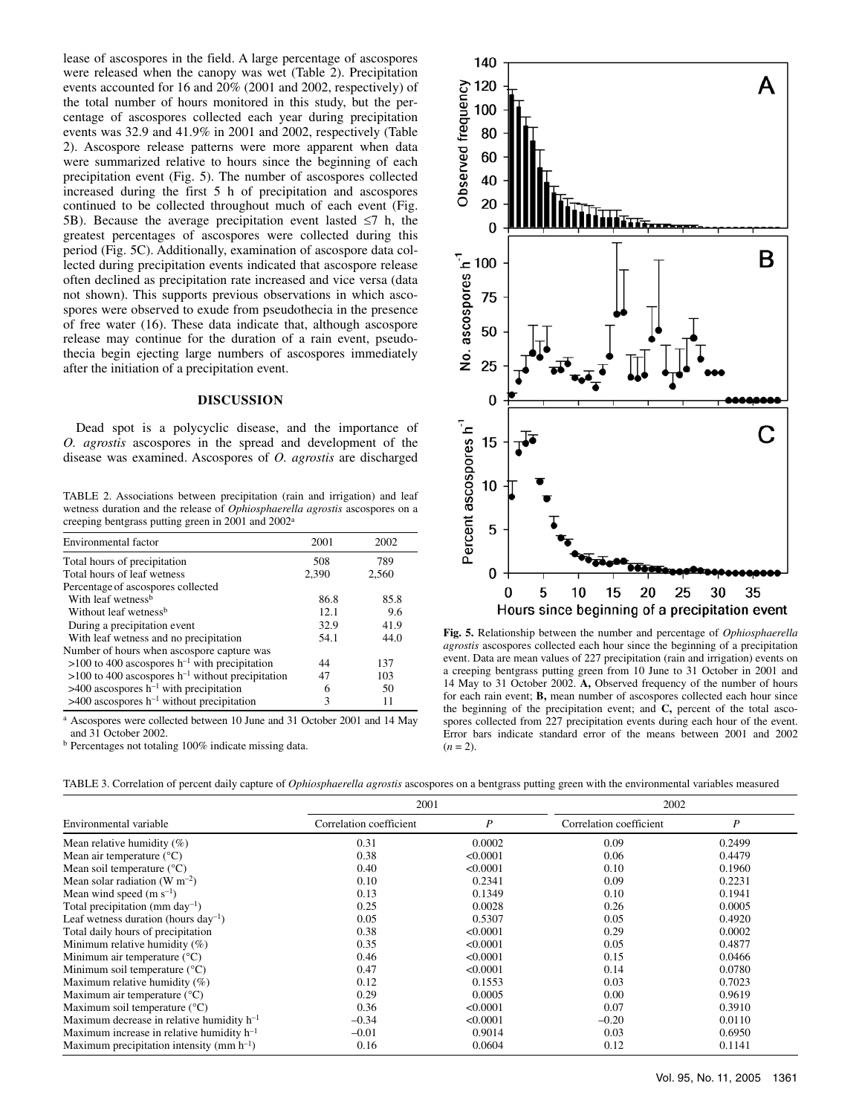lease of ascospores in the field. A large percentage of ascospores were released when the canopy was wet (Table 2). Precipitation events accounted for 16 and 20% (2001 and 2002, respectively) of the total number of hours monitored in this study, but the percentage of ascospores collected each year during precipitation events was 32.9 and 41.9% in 2001 and 2002, respectively (Table 2). Ascospore release patterns were more apparent when data were summarized relative to hours since the beginning of each precipitation event (Fig. 5). The number of ascospores collected increased during the first 5 h of precipitation and ascospores continued to be collected throughout much of each event (Fig. 5B). Because the average precipitation event lasted  $\leq$ 7 h, the greatest percentages of ascospores were collected during this period (Fig. 5C). Additionally, examination of ascospore data collected during precipitation events indicated that ascospore release often declined as precipitation rate increased and vice versa (data not shown). This supports previous observations in which ascospores were observed to exude from pseudothecia in the presence of free water (16). These data indicate that, although ascospore release may continue for the duration of a rain event, pseudothecia begin ejecting large numbers of ascospores immediately after the initiation of a precipitation event.

## **DISCUSSION**

Dead spot is a polycyclic disease, and the importance of *O. agrostis* ascospores in the spread and development of the disease was examined. Ascospores of *O. agrostis* are discharged

TABLE 2. Associations between precipitation (rain and irrigation) and leaf wetness duration and the release of *Ophiosphaerella agrostis* ascospores on a creeping bentgrass putting green in 2001 and 2002a

| Environmental factor                                           | 2001  | 2002  |
|----------------------------------------------------------------|-------|-------|
| Total hours of precipitation                                   | 508   | 789   |
| Total hours of leaf wetness                                    | 2,390 | 2,560 |
| Percentage of ascospores collected                             |       |       |
| With leaf wetness <sup>b</sup>                                 | 86.8  | 85.8  |
| Without leaf wetness <sup>b</sup>                              | 12.1  | 9.6   |
| During a precipitation event                                   | 32.9  | 41.9  |
| With leaf wetness and no precipitation                         | 54.1  | 44.0  |
| Number of hours when ascospore capture was                     |       |       |
| $>100$ to 400 ascospores h <sup>-1</sup> with precipitation    | 44    | 137   |
| $>100$ to 400 ascospores h <sup>-1</sup> without precipitation | 47    | 103   |
| $>400$ ascospores h <sup>-1</sup> with precipitation           | 6     | 50    |
| $>400$ ascospores h <sup>-1</sup> without precipitation        | 3     | 11    |

a Ascospores were collected between 10 June and 31 October 2001 and 14 May and 31 October 2002.

b Percentages not totaling 100% indicate missing data.



**Fig. 5.** Relationship between the number and percentage of *Ophiosphaerella agrostis* ascospores collected each hour since the beginning of a precipitation event. Data are mean values of 227 precipitation (rain and irrigation) events on a creeping bentgrass putting green from 10 June to 31 October in 2001 and 14 May to 31 October 2002. **A,** Observed frequency of the number of hours for each rain event; **B,** mean number of ascospores collected each hour since the beginning of the precipitation event; and **C,** percent of the total ascospores collected from 227 precipitation events during each hour of the event. Error bars indicate standard error of the means between 2001 and 2002  $(n = 2)$ .

|                                                | 2001                    |          | 2002                    |        |
|------------------------------------------------|-------------------------|----------|-------------------------|--------|
| Environmental variable                         | Correlation coefficient | P        | Correlation coefficient | P      |
| Mean relative humidity $(\%)$                  | 0.31                    | 0.0002   | 0.09                    | 0.2499 |
| Mean air temperature $(^{\circ}C)$             | 0.38                    | < 0.0001 | 0.06                    | 0.4479 |
| Mean soil temperature $(^{\circ}C)$            | 0.40                    | < 0.0001 | 0.10                    | 0.1960 |
| Mean solar radiation (W $m^{-2}$ )             | 0.10                    | 0.2341   | 0.09                    | 0.2231 |
| Mean wind speed $(m s^{-1})$                   | 0.13                    | 0.1349   | 0.10                    | 0.1941 |
| Total precipitation (mm day <sup>-1</sup> )    | 0.25                    | 0.0028   | 0.26                    | 0.0005 |
| Leaf wetness duration (hours $day^{-1}$ )      | 0.05                    | 0.5307   | 0.05                    | 0.4920 |
| Total daily hours of precipitation             | 0.38                    | < 0.0001 | 0.29                    | 0.0002 |
| Minimum relative humidity $(\%)$               | 0.35                    | < 0.0001 | 0.05                    | 0.4877 |
| Minimum air temperature $(^{\circ}C)$          | 0.46                    | < 0.0001 | 0.15                    | 0.0466 |
| Minimum soil temperature $(^{\circ}C)$         | 0.47                    | < 0.0001 | 0.14                    | 0.0780 |
| Maximum relative humidity $(\%)$               | 0.12                    | 0.1553   | 0.03                    | 0.7023 |
| Maximum air temperature $(^{\circ}C)$          | 0.29                    | 0.0005   | 0.00                    | 0.9619 |
| Maximum soil temperature $(^{\circ}C)$         | 0.36                    | < 0.0001 | 0.07                    | 0.3910 |
| Maximum decrease in relative humidity $h^{-1}$ | $-0.34$                 | < 0.0001 | $-0.20$                 | 0.0110 |
| Maximum increase in relative humidity $h^{-1}$ | $-0.01$                 | 0.9014   | 0.03                    | 0.6950 |
| Maximum precipitation intensity (mm $h^{-1}$ ) | 0.16                    | 0.0604   | 0.12                    | 0.1141 |

TABLE 3. Correlation of percent daily capture of *Ophiosphaerella agrostis* ascospores on a bentgrass putting green with the environmental variables measured